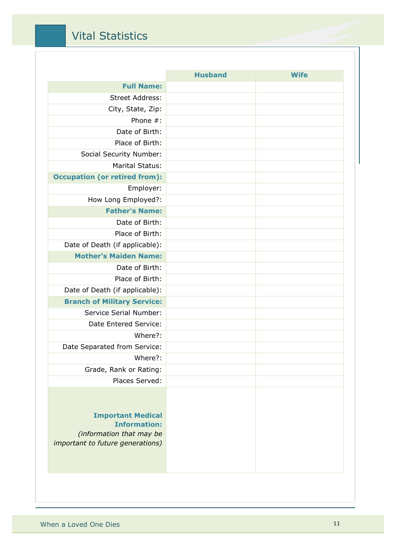### Vital Statistics

|                                                                                                                 | <b>Husband</b> | <b>Wife</b> |
|-----------------------------------------------------------------------------------------------------------------|----------------|-------------|
| <b>Full Name:</b>                                                                                               |                |             |
| <b>Street Address:</b>                                                                                          |                |             |
| City, State, Zip:                                                                                               |                |             |
| Phone $#$ :                                                                                                     |                |             |
| Date of Birth:                                                                                                  |                |             |
| Place of Birth:                                                                                                 |                |             |
| Social Security Number:                                                                                         |                |             |
| <b>Marital Status:</b>                                                                                          |                |             |
| <b>Occupation (or retired from):</b>                                                                            |                |             |
| Employer:                                                                                                       |                |             |
| How Long Employed?:                                                                                             |                |             |
| <b>Father's Name:</b>                                                                                           |                |             |
| Date of Birth:                                                                                                  |                |             |
| Place of Birth:                                                                                                 |                |             |
| Date of Death (if applicable):                                                                                  |                |             |
| <b>Mother's Maiden Name:</b>                                                                                    |                |             |
| Date of Birth:                                                                                                  |                |             |
| Place of Birth:                                                                                                 |                |             |
| Date of Death (if applicable):                                                                                  |                |             |
| <b>Branch of Military Service:</b>                                                                              |                |             |
| Service Serial Number:                                                                                          |                |             |
| Date Entered Service:                                                                                           |                |             |
| Where?:                                                                                                         |                |             |
| Date Separated from Service:                                                                                    |                |             |
| Where?:                                                                                                         |                |             |
| Grade, Rank or Rating:                                                                                          |                |             |
| Places Served:                                                                                                  |                |             |
| <b>Important Medical</b><br><b>Information:</b><br>(information that may be<br>important to future generations) |                |             |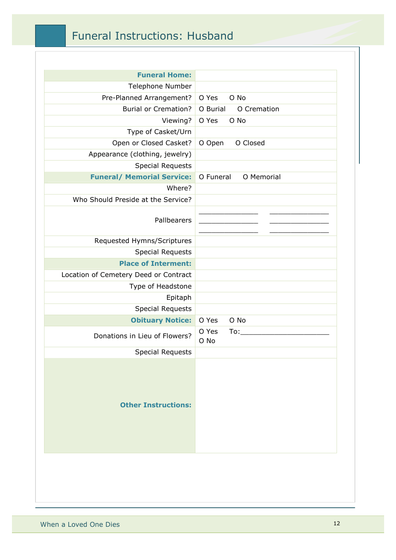## Funeral Instructions: Husband

| <b>Funeral Home:</b>                  |                         |
|---------------------------------------|-------------------------|
| Telephone Number                      |                         |
| Pre-Planned Arrangement?              | O Yes<br>O No           |
| <b>Burial or Cremation?</b>           | O Burial<br>O Cremation |
| Viewing?                              | O Yes<br>O No           |
| Type of Casket/Urn                    |                         |
| Open or Closed Casket?                | O Closed<br>O Open      |
| Appearance (clothing, jewelry)        |                         |
| <b>Special Requests</b>               |                         |
| <b>Funeral/ Memorial Service:</b>     | O Funeral<br>O Memorial |
| Where?                                |                         |
| Who Should Preside at the Service?    |                         |
| Pallbearers                           |                         |
| Requested Hymns/Scriptures            |                         |
| <b>Special Requests</b>               |                         |
| <b>Place of Interment:</b>            |                         |
| Location of Cemetery Deed or Contract |                         |
| Type of Headstone                     |                         |
| Epitaph                               |                         |
| <b>Special Requests</b>               |                         |
| <b>Obituary Notice:</b>               | O No<br>O Yes           |
| Donations in Lieu of Flowers?         | O Yes<br>To:<br>O No    |
| <b>Special Requests</b>               |                         |
| <b>Other Instructions:</b>            |                         |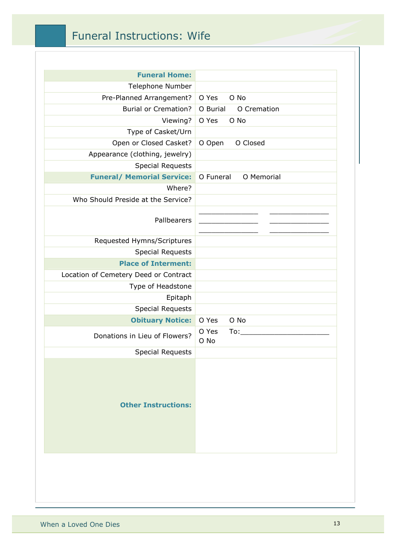### Funeral Instructions: Wife

| <b>Funeral Home:</b>                  |                         |
|---------------------------------------|-------------------------|
| <b>Telephone Number</b>               |                         |
| Pre-Planned Arrangement?              | O No<br>O Yes           |
| <b>Burial or Cremation?</b>           | O Burial<br>O Cremation |
| Viewing?                              | O Yes<br>O No           |
| Type of Casket/Urn                    |                         |
| Open or Closed Casket?                | O Closed<br>O Open      |
| Appearance (clothing, jewelry)        |                         |
| <b>Special Requests</b>               |                         |
| <b>Funeral/ Memorial Service:</b>     | O Funeral<br>O Memorial |
| Where?                                |                         |
| Who Should Preside at the Service?    |                         |
| Pallbearers                           |                         |
| Requested Hymns/Scriptures            |                         |
| <b>Special Requests</b>               |                         |
| <b>Place of Interment:</b>            |                         |
| Location of Cemetery Deed or Contract |                         |
| Type of Headstone                     |                         |
| Epitaph                               |                         |
| <b>Special Requests</b>               |                         |
| <b>Obituary Notice:</b>               | O No<br>O Yes           |
| Donations in Lieu of Flowers?         | O Yes<br>To:<br>O No    |
| <b>Special Requests</b>               |                         |
| <b>Other Instructions:</b>            |                         |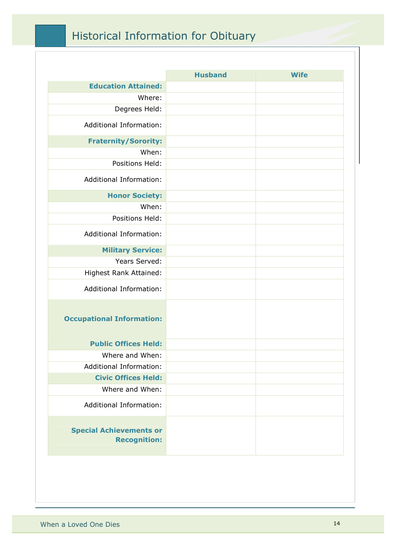# Historical Information for Obituary

|                                                       | <b>Husband</b> | <b>Wife</b> |
|-------------------------------------------------------|----------------|-------------|
| <b>Education Attained:</b>                            |                |             |
| Where:                                                |                |             |
| Degrees Held:                                         |                |             |
| Additional Information:                               |                |             |
| <b>Fraternity/Sorority:</b>                           |                |             |
| When:                                                 |                |             |
| Positions Held:                                       |                |             |
| Additional Information:                               |                |             |
| <b>Honor Society:</b>                                 |                |             |
| When:                                                 |                |             |
| Positions Held:                                       |                |             |
| <b>Additional Information:</b>                        |                |             |
| <b>Military Service:</b>                              |                |             |
| Years Served:                                         |                |             |
| Highest Rank Attained:                                |                |             |
| <b>Additional Information:</b>                        |                |             |
| <b>Occupational Information:</b>                      |                |             |
| <b>Public Offices Held:</b>                           |                |             |
| Where and When:                                       |                |             |
| Additional Information:                               |                |             |
| <b>Civic Offices Held:</b>                            |                |             |
| Where and When:                                       |                |             |
| Additional Information:                               |                |             |
| <b>Special Achievements or</b><br><b>Recognition:</b> |                |             |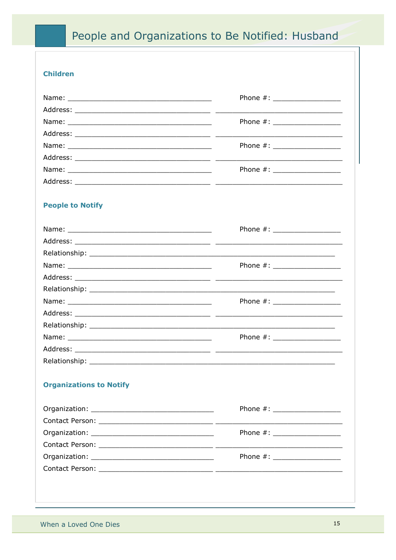## People and Organizations to Be Notified: Husband

#### **Children**

| Phone #: __________________   |
|-------------------------------|
|                               |
| Phone #: __________________   |
|                               |
| Phone #: ___________________  |
|                               |
| Phone #: ____________________ |
|                               |

### **People to Notify**

|                                | Phone #: ____________________  |
|--------------------------------|--------------------------------|
|                                |                                |
|                                |                                |
|                                | Phone #: ____________________  |
|                                |                                |
|                                |                                |
|                                | Phone #: ____________________  |
|                                |                                |
|                                |                                |
|                                | Phone #: _____________________ |
|                                |                                |
|                                |                                |
|                                |                                |
| <b>Organizations to Notify</b> |                                |
|                                |                                |
|                                | Phone #: _____________________ |
|                                |                                |

| Organization: New York Street, New York Street, New York Street, New York Street, New York Street, New York St                                                                                                                 | Phone $\#$ : |
|--------------------------------------------------------------------------------------------------------------------------------------------------------------------------------------------------------------------------------|--------------|
| Contact Person: The Contact Person and the Contact Person and the Contact Person and the Contact Person and the Contact Person and the Contact Person and the Contact Person and the Contact Person and the Contact Person and |              |
|                                                                                                                                                                                                                                | Phone $\#$ : |
|                                                                                                                                                                                                                                |              |
|                                                                                                                                                                                                                                |              |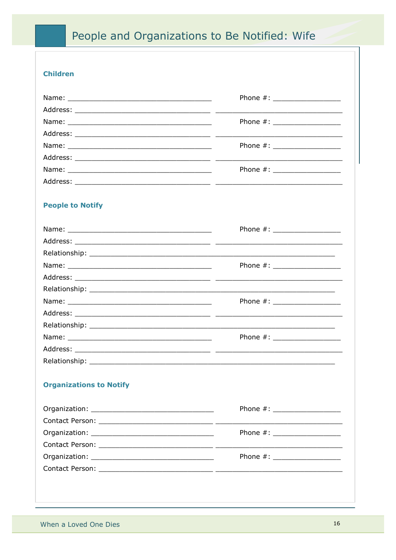## People and Organizations to Be Notified: Wife

#### **Children**

| Phone #: __________________   |
|-------------------------------|
|                               |
| Phone #: ___________________  |
|                               |
| Phone #: ____________________ |
|                               |
| Phone #: ____________________ |
|                               |

#### **People to Notify**

|                                | Phone #: ___________________   |
|--------------------------------|--------------------------------|
|                                |                                |
|                                |                                |
|                                | Phone #: ____________________  |
|                                |                                |
|                                |                                |
|                                | Phone #: ___________________   |
|                                |                                |
|                                |                                |
|                                | Phone #: _____________________ |
|                                |                                |
|                                |                                |
|                                |                                |
| <b>Organizations to Notify</b> |                                |
|                                |                                |
|                                | Phone #: _____________________ |
|                                |                                |
|                                | Phone $\#$ : $\qquad \qquad$   |

When a Loved One Dies

Organization: New York Street, New York Street, New York Street, New York Street, New York Street, New York Street, New York Street, New York Street, New York Street, New York Street, New York Street, New York Street, New

<u> 1989 - Johann John Harry Harry Harry Harry Harry Harry Harry Harry Harry Harry Harry Harry Harry Harry Harry Harry Harry Harry Harry Harry Harry Harry Harry Harry Harry Harry Harry Harry Harry Harry Harry Harry Harry Har</u>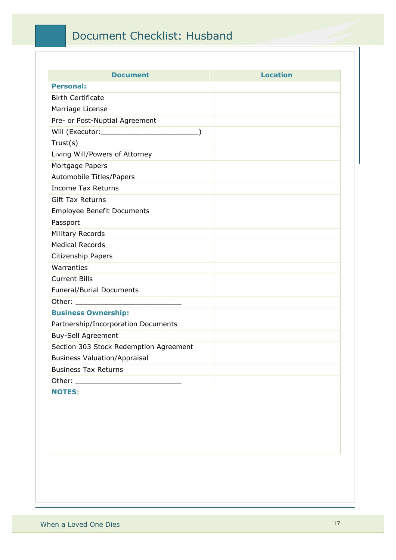## Document Checklist: Husband

| <b>Document</b>                        | <b>Location</b> |
|----------------------------------------|-----------------|
| <b>Personal:</b>                       |                 |
| <b>Birth Certificate</b>               |                 |
| Marriage License                       |                 |
| Pre- or Post-Nuptial Agreement         |                 |
|                                        |                 |
| Trust(s)                               |                 |
| Living Will/Powers of Attorney         |                 |
| Mortgage Papers                        |                 |
| Automobile Titles/Papers               |                 |
| <b>Income Tax Returns</b>              |                 |
| <b>Gift Tax Returns</b>                |                 |
| <b>Employee Benefit Documents</b>      |                 |
| Passport                               |                 |
| Military Records                       |                 |
| <b>Medical Records</b>                 |                 |
| Citizenship Papers                     |                 |
| Warranties                             |                 |
| <b>Current Bills</b>                   |                 |
| <b>Funeral/Burial Documents</b>        |                 |
|                                        |                 |
| <b>Business Ownership:</b>             |                 |
| Partnership/Incorporation Documents    |                 |
| Buy-Sell Agreement                     |                 |
| Section 303 Stock Redemption Agreement |                 |
| <b>Business Valuation/Appraisal</b>    |                 |
| <b>Business Tax Returns</b>            |                 |
|                                        |                 |
| <b>NOTES:</b>                          |                 |
|                                        |                 |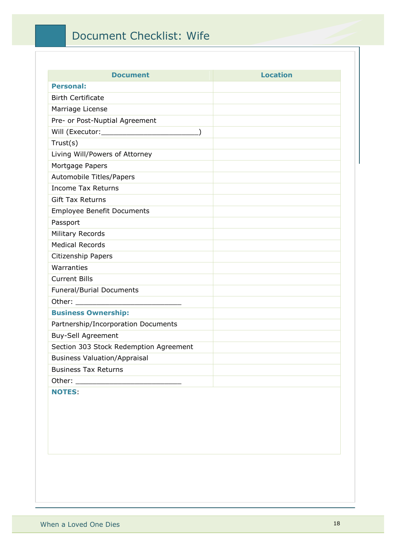### Document Checklist: Wife

| <b>Document</b>                        | <b>Location</b> |
|----------------------------------------|-----------------|
| <b>Personal:</b>                       |                 |
| <b>Birth Certificate</b>               |                 |
| Marriage License                       |                 |
| Pre- or Post-Nuptial Agreement         |                 |
|                                        |                 |
| Trust(s)                               |                 |
| Living Will/Powers of Attorney         |                 |
| Mortgage Papers                        |                 |
| Automobile Titles/Papers               |                 |
| <b>Income Tax Returns</b>              |                 |
| <b>Gift Tax Returns</b>                |                 |
| <b>Employee Benefit Documents</b>      |                 |
| Passport                               |                 |
| Military Records                       |                 |
| <b>Medical Records</b>                 |                 |
| Citizenship Papers                     |                 |
| Warranties                             |                 |
| <b>Current Bills</b>                   |                 |
| <b>Funeral/Burial Documents</b>        |                 |
|                                        |                 |
| <b>Business Ownership:</b>             |                 |
| Partnership/Incorporation Documents    |                 |
| Buy-Sell Agreement                     |                 |
| Section 303 Stock Redemption Agreement |                 |
| <b>Business Valuation/Appraisal</b>    |                 |
| <b>Business Tax Returns</b>            |                 |
|                                        |                 |
| <b>NOTES:</b>                          |                 |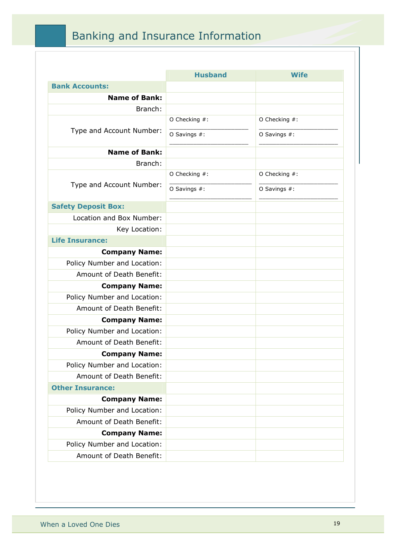## Banking and Insurance Information

|                             | <b>Husband</b> | Wife             |
|-----------------------------|----------------|------------------|
| <b>Bank Accounts:</b>       |                |                  |
| <b>Name of Bank:</b>        |                |                  |
| Branch:                     |                |                  |
|                             | O Checking #:  | O Checking #:    |
| Type and Account Number:    | O Savings #:   | O Savings #:     |
| <b>Name of Bank:</b>        |                |                  |
| Branch:                     |                |                  |
|                             | O Checking #:  | O Checking $#$ : |
| Type and Account Number:    | O Savings #:   | O Savings #:     |
| <b>Safety Deposit Box:</b>  |                |                  |
| Location and Box Number:    |                |                  |
| Key Location:               |                |                  |
| <b>Life Insurance:</b>      |                |                  |
| <b>Company Name:</b>        |                |                  |
| Policy Number and Location: |                |                  |
| Amount of Death Benefit:    |                |                  |
| <b>Company Name:</b>        |                |                  |
| Policy Number and Location: |                |                  |
| Amount of Death Benefit:    |                |                  |
| <b>Company Name:</b>        |                |                  |
| Policy Number and Location: |                |                  |
| Amount of Death Benefit:    |                |                  |
| <b>Company Name:</b>        |                |                  |
| Policy Number and Location: |                |                  |
| Amount of Death Benefit:    |                |                  |
| <b>Other Insurance:</b>     |                |                  |
| <b>Company Name:</b>        |                |                  |
| Policy Number and Location: |                |                  |
| Amount of Death Benefit:    |                |                  |
| <b>Company Name:</b>        |                |                  |
| Policy Number and Location: |                |                  |
| Amount of Death Benefit:    |                |                  |
|                             |                |                  |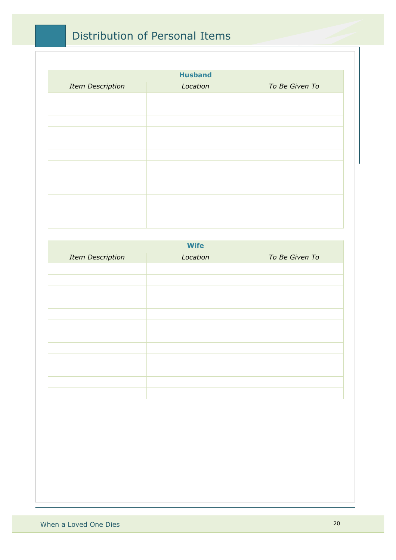### Distribution of Personal Items

| <b>Husband</b>          |          |                |  |
|-------------------------|----------|----------------|--|
| <b>Item Description</b> | Location | To Be Given To |  |
|                         |          |                |  |
|                         |          |                |  |
|                         |          |                |  |
|                         |          |                |  |
|                         |          |                |  |
|                         |          |                |  |
|                         |          |                |  |
|                         |          |                |  |
|                         |          |                |  |
|                         |          |                |  |
|                         |          |                |  |
|                         |          |                |  |
|                         |          |                |  |

| <b>Wife</b>             |          |                |
|-------------------------|----------|----------------|
| <b>Item Description</b> | Location | To Be Given To |
|                         |          |                |
|                         |          |                |
|                         |          |                |
|                         |          |                |
|                         |          |                |
|                         |          |                |
|                         |          |                |
|                         |          |                |
|                         |          |                |
|                         |          |                |
|                         |          |                |
|                         |          |                |
|                         |          |                |